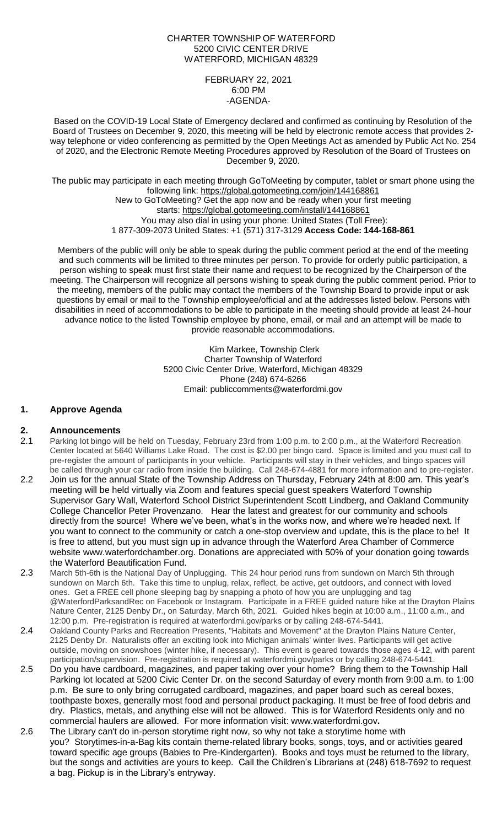## CHARTER TOWNSHIP OF WATERFORD 5200 CIVIC CENTER DRIVE WATERFORD, MICHIGAN 48329

#### FEBRUARY 22, 2021 6:00 PM -AGENDA-

Based on the COVID-19 Local State of Emergency declared and confirmed as continuing by Resolution of the Board of Trustees on December 9, 2020, this meeting will be held by electronic remote access that provides 2 way telephone or video conferencing as permitted by the Open Meetings Act as amended by Public Act No. 254 of 2020, and the Electronic Remote Meeting Procedures approved by Resolution of the Board of Trustees on December 9, 2020.

The public may participate in each meeting through GoToMeeting by computer, tablet or smart phone using the following link: https://global.gotomeeting.com/join/144168861 New to GoToMeeting? Get the app now and be ready when your first meeting starts: https://global.gotomeeting.com/install/144168861

You may also dial in using your phone: United States (Toll Free): 1 877-309-2073 United States: +1 (571) 317-3129 **Access Code: 144-168-861**

Members of the public will only be able to speak during the public comment period at the end of the meeting and such comments will be limited to three minutes per person. To provide for orderly public participation, a person wishing to speak must first state their name and request to be recognized by the Chairperson of the meeting. The Chairperson will recognize all persons wishing to speak during the public comment period. Prior to the meeting, members of the public may contact the members of the Township Board to provide input or ask questions by email or mail to the Township employee/official and at the addresses listed below. Persons with disabilities in need of accommodations to be able to participate in the meeting should provide at least 24-hour advance notice to the listed Township employee by phone, email, or mail and an attempt will be made to provide reasonable accommodations.

> Kim Markee, Township Clerk Charter Township of Waterford 5200 Civic Center Drive, Waterford, Michigan 48329 Phone (248) 674-6266 Email: [publiccomments@waterfordmi.gov](mailto:publiccomments@waterfordmi.gov)

# **1. Approve Agenda**

# **2. Announcements**

- 2.1 Parking lot bingo will be held on Tuesday, February 23rd from 1:00 p.m. to 2:00 p.m., at the Waterford Recreation Center located at 5640 Williams Lake Road. The cost is \$2.00 per bingo card. Space is limited and you must call to pre-register the amount of participants in your vehicle. Participants will stay in their vehicles, and bingo spaces will be called through your car radio from inside the building. Call 248-674-4881 for more information and to pre-register.
- 2.2 Join us for the annual State of the Township Address on Thursday, February 24th at 8:00 am. This year's meeting will be held virtually via Zoom and features special guest speakers Waterford Township Supervisor Gary Wall, Waterford School District Superintendent Scott Lindberg, and Oakland Community College Chancellor Peter Provenzano. Hear the latest and greatest for our community and schools directly from the source! Where we've been, what's in the works now, and where we're headed next. If you want to connect to the community or catch a one-stop overview and update, this is the place to be! It is free to attend, but you must sign up in advance through the Waterford Area Chamber of Commerce website www.waterfordchamber.org. Donations are appreciated with 50% of your donation going towards the Waterford Beautification Fund.
- 2.3 March 5th-6th is the National Day of Unplugging. This 24 hour period runs from sundown on March 5th through sundown on March 6th. Take this time to unplug, relax, reflect, be active, get outdoors, and connect with loved ones. Get a FREE cell phone sleeping bag by snapping a photo of how you are unplugging and tag @WaterfordParksandRec on Facebook or Instagram. Participate in a FREE guided nature hike at the Drayton Plains Nature Center, 2125 Denby Dr., on Saturday, March 6th, 2021. Guided hikes begin at 10:00 a.m., 11:00 a.m., and 12:00 p.m. Pre-registration is required at waterfordmi.gov/parks or by calling 248-674-5441.
- 2.4 Oakland County Parks and Recreation Presents, "Habitats and Movement" at the Drayton Plains Nature Center, 2125 Denby Dr. Naturalists offer an exciting look into Michigan animals' winter lives. Participants will get active outside, moving on snowshoes (winter hike, if necessary). This event is geared towards those ages 4-12, with parent participation/supervision. Pre-registration is required at waterfordmi.gov/parks or by calling 248-674-5441.
- 2.5 Do you have cardboard, magazines, and paper taking over your home? Bring them to the Township Hall Parking lot located at 5200 Civic Center Dr. on the second Saturday of every month from 9:00 a.m. to 1:00 p.m. Be sure to only bring corrugated cardboard, magazines, and paper board such as cereal boxes, toothpaste boxes, generally most food and personal product packaging. It must be free of food debris and dry. Plastics, metals, and anything else will not be allowed. This is for Waterford Residents only and no commercial haulers are allowed. For more information visit: [www.waterfordmi.gov](http://www.waterfordmi.gov/)**.**
- 2.6 The Library can't do in-person storytime right now, so why not take a storytime home with you? Storytimes-in-a-Bag kits contain theme-related library books, songs, toys, and or activities geared toward specific age groups (Babies to Pre-Kindergarten). Books and toys must be returned to the library, but the songs and activities are yours to keep. Call the Children's Librarians at (248) 618-7692 to request a bag. Pickup is in the Library's entryway.